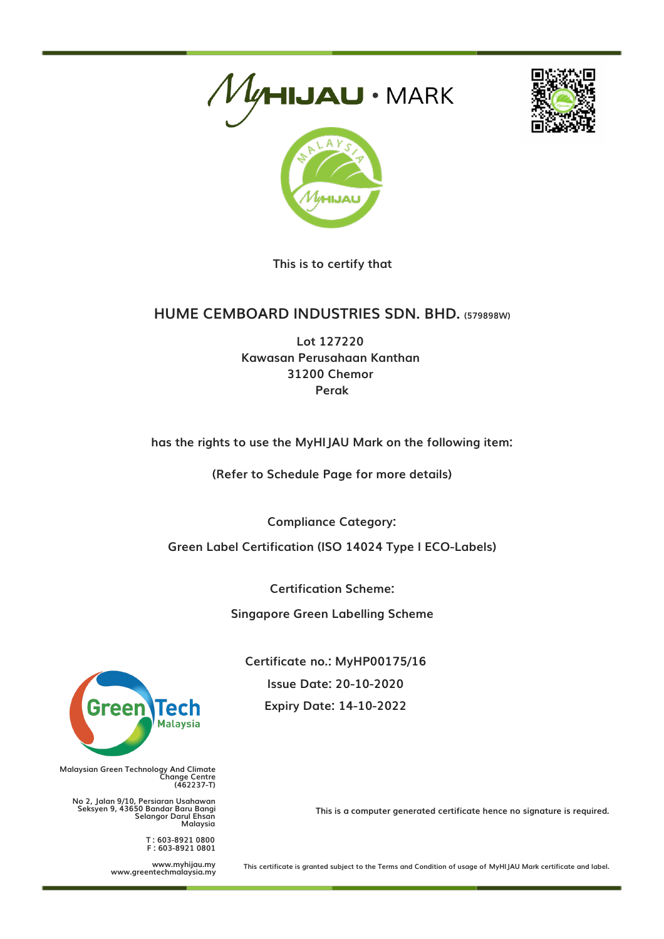



**This is to certify that**

## **HUME CEMBOARD INDUSTRIES SDN. BHD. (579898W)**

**Lot 127220 Kawasan Perusahaan Kanthan 31200 Chemor Perak**

**has the rights to use the MyHIJAU Mark on the following item:**

**(Refer to Schedule Page for more details)**

**Compliance Category:**

**Green Label Certification (ISO 14024 Type I ECO-Labels)**

**Certification Scheme:**

**Singapore Green Labelling Scheme**

**Certificate no.: MyHP00175/16 Issue Date: 20-10-2020 Expiry Date: 14-10-2022**



**Malaysian Green Technology And Climate Change Centre (462237-T)**

**No 2, Jalan 9/10, Persiaran Usahawan Seksyen 9, 43650 Bandar Baru Bangi Selangor Darul Ehsan Malaysia**

> **T : 603-8921 0800 F : 603-8921 0801**

**www.myhijau.my www.greentechmalaysia.my** **This is a computer generated certificate hence no signature is required.**

This certificate is granted subject to the Terms and Condition of usage of MyHIJAU Mark certificate and label.